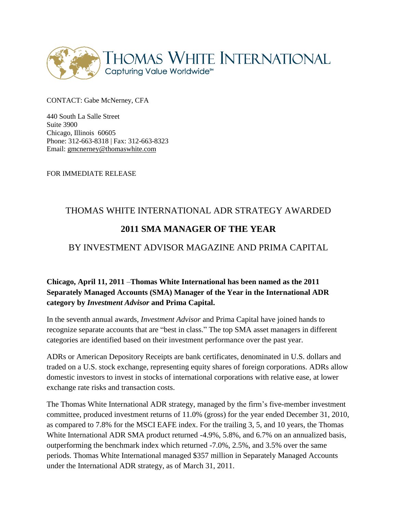

CONTACT: Gabe McNerney, CFA

440 South La Salle Street Suite 3900 Chicago, Illinois 60605 Phone: 312-663-8318 | Fax: 312-663-8323 Email: [gmcnerney@thomaswhite.com](mailto:gmcnerney@thomaswhite.com)

FOR IMMEDIATE RELEASE

# THOMAS WHITE INTERNATIONAL ADR STRATEGY AWARDED **2011 SMA MANAGER OF THE YEAR**

## BY INVESTMENT ADVISOR MAGAZINE AND PRIMA CAPITAL

### **Chicago, April 11, 2011** –**Thomas White International has been named as the 2011 Separately Managed Accounts (SMA) Manager of the Year in the International ADR category by** *Investment Advisor* **and Prima Capital.**

In the seventh annual awards, *Investment Advisor* and Prima Capital have joined hands to recognize separate accounts that are "best in class." The top SMA asset managers in different categories are identified based on their investment performance over the past year.

ADRs or American Depository Receipts are bank certificates, denominated in U.S. dollars and traded on a U.S. stock exchange, representing equity shares of foreign corporations. ADRs allow domestic investors to invest in stocks of international corporations with relative ease, at lower exchange rate risks and transaction costs.

The Thomas White International ADR strategy, managed by the firm's five-member investment committee, produced investment returns of 11.0% (gross) for the year ended December 31, 2010, as compared to 7.8% for the MSCI EAFE index. For the trailing 3, 5, and 10 years, the Thomas White International ADR SMA product returned -4.9%, 5.8%, and 6.7% on an annualized basis, outperforming the benchmark index which returned -7.0%, 2.5%, and 3.5% over the same periods. Thomas White International managed \$357 million in Separately Managed Accounts under the International ADR strategy, as of March 31, 2011.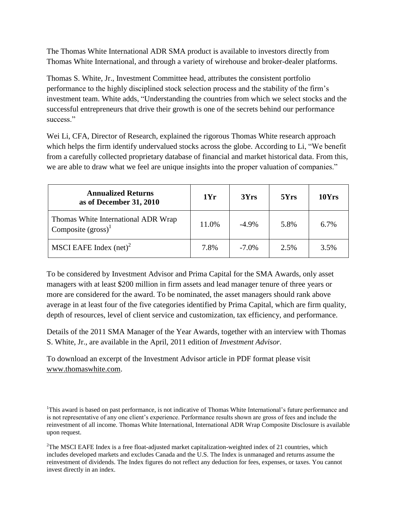The Thomas White International ADR SMA product is available to investors directly from Thomas White International, and through a variety of wirehouse and broker-dealer platforms.

Thomas S. White, Jr., Investment Committee head, attributes the consistent portfolio performance to the highly disciplined stock selection process and the stability of the firm's investment team. White adds, "Understanding the countries from which we select stocks and the successful entrepreneurs that drive their growth is one of the secrets behind our performance success<sup>"</sup>

Wei Li, CFA, Director of Research, explained the rigorous Thomas White research approach which helps the firm identify undervalued stocks across the globe. According to Li, "We benefit from a carefully collected proprietary database of financial and market historical data. From this, we are able to draw what we feel are unique insights into the proper valuation of companies."

| <b>Annualized Returns</b><br>as of December 31, 2010           | 1Yr   | 3Yrs     | 5Yrs | 10Yrs |
|----------------------------------------------------------------|-------|----------|------|-------|
| Thomas White International ADR Wrap<br>Composite $(gross)^{1}$ | 11.0% | $-4.9\%$ | 5.8% | 6.7%  |
| MSCI EAFE Index $(net)^2$                                      | 7.8%  | $-7.0\%$ | 2.5% | 3.5%  |

To be considered by Investment Advisor and Prima Capital for the SMA Awards, only asset managers with at least \$200 million in firm assets and lead manager tenure of three years or more are considered for the award. To be nominated, the asset managers should rank above average in at least four of the five categories identified by Prima Capital, which are firm quality, depth of resources, level of client service and customization, tax efficiency, and performance.

Details of the 2011 SMA Manager of the Year Awards, together with an interview with Thomas S. White, Jr., are available in the April, 2011 edition of *Investment Advisor.*

To download an excerpt of the Investment Advisor article in PDF format please visit [www.thomaswhite.com.](http://www.thomaswhite.com/)

<sup>&</sup>lt;sup>1</sup>This award is based on past performance, is not indicative of Thomas White International's future performance and is not representative of any one client's experience. Performance results shown are gross of fees and include the reinvestment of all income. Thomas White International, International ADR Wrap Composite Disclosure is available upon request.

 ${}^{2}$ The MSCI EAFE Index is a free float-adjusted market capitalization-weighted index of 21 countries, which includes developed markets and excludes Canada and the U.S. The Index is unmanaged and returns assume the reinvestment of dividends. The Index figures do not reflect any deduction for fees, expenses, or taxes. You cannot invest directly in an index.